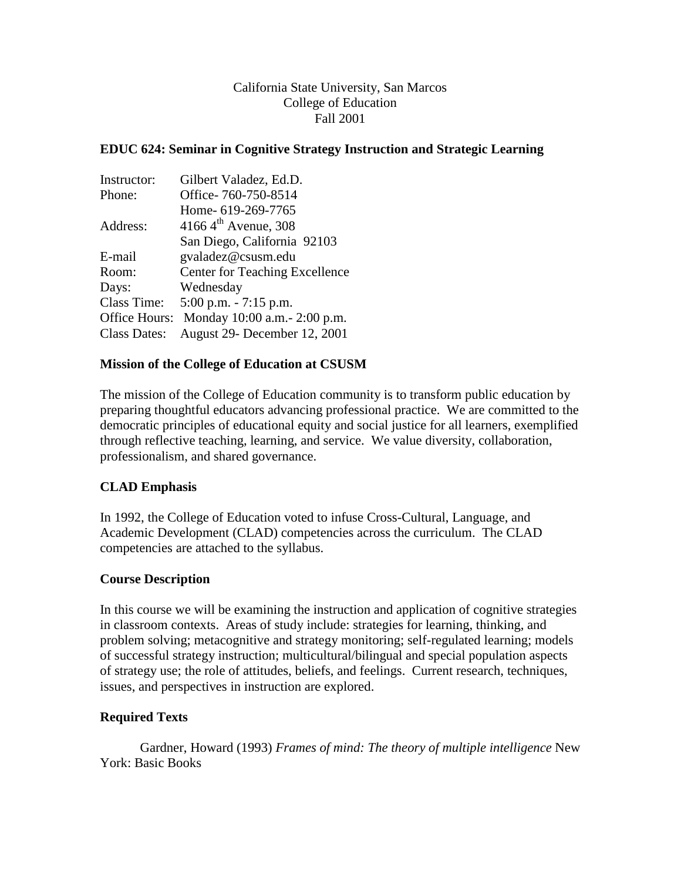### California State University, San Marcos College of Education Fall 2001

### **EDUC 624: Seminar in Cognitive Strategy Instruction and Strategic Learning**

| Instructor:   | Gilbert Valadez, Ed.D.                |  |
|---------------|---------------------------------------|--|
| Phone:        | Office-760-750-8514                   |  |
|               | Home- 619-269-7765                    |  |
| Address:      | 4166 $4^{\text{th}}$ Avenue, 308      |  |
|               | San Diego, California 92103           |  |
| E-mail        | gvaladez@csusm.edu                    |  |
| Room:         | <b>Center for Teaching Excellence</b> |  |
| Days:         | Wednesday                             |  |
| Class Time:   | $5:00$ p.m. $-7:15$ p.m.              |  |
| Office Hours: | Monday 10:00 a.m. - 2:00 p.m.         |  |
| Class Dates:  | August 29- December 12, 2001          |  |

#### **Mission of the College of Education at CSUSM**

The mission of the College of Education community is to transform public education by preparing thoughtful educators advancing professional practice. We are committed to the democratic principles of educational equity and social justice for all learners, exemplified through reflective teaching, learning, and service. We value diversity, collaboration, professionalism, and shared governance.

#### **CLAD Emphasis**

In 1992, the College of Education voted to infuse Cross-Cultural, Language, and Academic Development (CLAD) competencies across the curriculum. The CLAD competencies are attached to the syllabus.

#### **Course Description**

In this course we will be examining the instruction and application of cognitive strategies in classroom contexts. Areas of study include: strategies for learning, thinking, and problem solving; metacognitive and strategy monitoring; self-regulated learning; models of successful strategy instruction; multicultural/bilingual and special population aspects of strategy use; the role of attitudes, beliefs, and feelings. Current research, techniques, issues, and perspectives in instruction are explored.

#### **Required Texts**

Gardner, Howard (1993) *Frames of mind: The theory of multiple intelligence* New York: Basic Books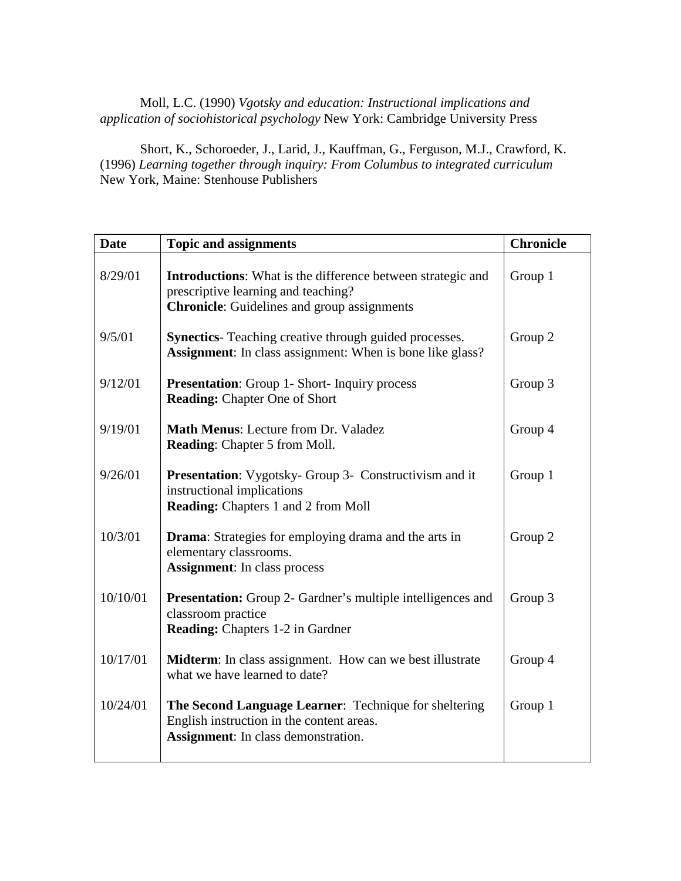### Moll, L.C. (1990) *Vgotsky and education: Instructional implications and application of sociohistorical psychology* New York: Cambridge University Press

Short, K., Schoroeder, J., Larid, J., Kauffman, G., Ferguson, M.J., Crawford, K. (1996) *Learning together through inquiry: From Columbus to integrated curriculum* New York, Maine: Stenhouse Publishers

| <b>Date</b> | <b>Topic and assignments</b>                                                                                                                                    | <b>Chronicle</b> |
|-------------|-----------------------------------------------------------------------------------------------------------------------------------------------------------------|------------------|
| 8/29/01     | <b>Introductions:</b> What is the difference between strategic and<br>prescriptive learning and teaching?<br><b>Chronicle:</b> Guidelines and group assignments | Group 1          |
| 9/5/01      | <b>Synectics</b> - Teaching creative through guided processes.<br><b>Assignment:</b> In class assignment: When is bone like glass?                              | Group 2          |
| 9/12/01     | <b>Presentation:</b> Group 1- Short- Inquiry process<br><b>Reading: Chapter One of Short</b>                                                                    | Group 3          |
| 9/19/01     | <b>Math Menus: Lecture from Dr. Valadez</b><br><b>Reading:</b> Chapter 5 from Moll.                                                                             | Group 4          |
| 9/26/01     | Presentation: Vygotsky- Group 3- Constructivism and it<br>instructional implications<br>Reading: Chapters 1 and 2 from Moll                                     | Group 1          |
| 10/3/01     | <b>Drama:</b> Strategies for employing drama and the arts in<br>elementary classrooms.<br><b>Assignment:</b> In class process                                   | Group 2          |
| 10/10/01    | <b>Presentation:</b> Group 2- Gardner's multiple intelligences and<br>classroom practice<br><b>Reading:</b> Chapters 1-2 in Gardner                             | Group 3          |
| 10/17/01    | <b>Midterm</b> : In class assignment. How can we best illustrate<br>what we have learned to date?                                                               | Group 4          |
| 10/24/01    | The Second Language Learner: Technique for sheltering<br>English instruction in the content areas.<br><b>Assignment:</b> In class demonstration.                | Group 1          |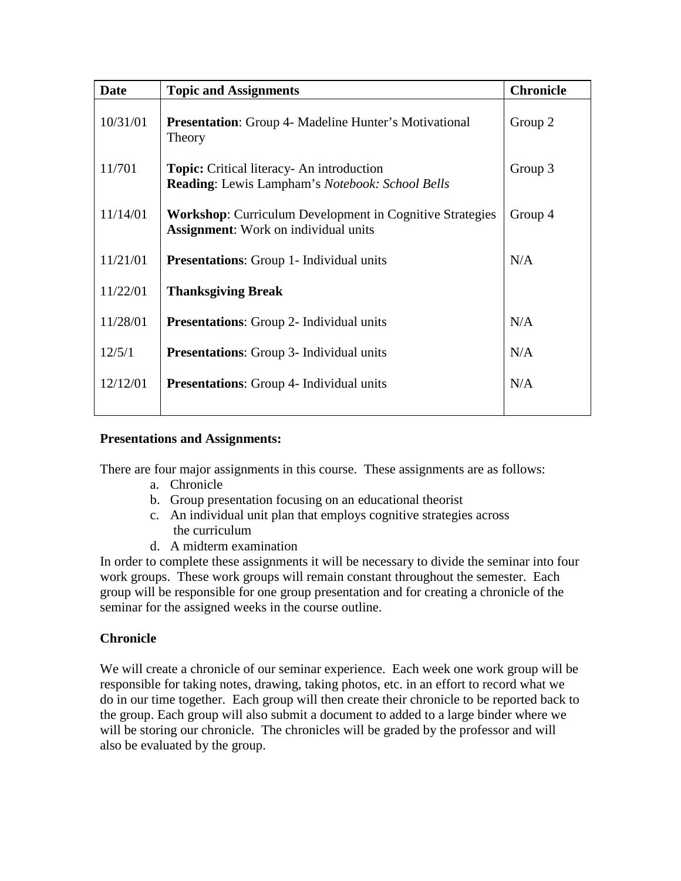| <b>Date</b> | <b>Topic and Assignments</b>                                                                                   | <b>Chronicle</b> |
|-------------|----------------------------------------------------------------------------------------------------------------|------------------|
| 10/31/01    | <b>Presentation:</b> Group 4- Madeline Hunter's Motivational<br>Theory                                         | Group 2          |
| 11/701      | <b>Topic:</b> Critical literacy- An introduction<br>Reading: Lewis Lampham's Notebook: School Bells            | Group 3          |
| 11/14/01    | <b>Workshop:</b> Curriculum Development in Cognitive Strategies<br><b>Assignment:</b> Work on individual units | Group 4          |
| 11/21/01    | <b>Presentations:</b> Group 1- Individual units                                                                | N/A              |
| 11/22/01    | <b>Thanksgiving Break</b>                                                                                      |                  |
| 11/28/01    | <b>Presentations:</b> Group 2- Individual units                                                                | N/A              |
| 12/5/1      | <b>Presentations:</b> Group 3- Individual units                                                                | N/A              |
| 12/12/01    | <b>Presentations:</b> Group 4- Individual units                                                                | N/A              |
|             |                                                                                                                |                  |

# **Presentations and Assignments:**

There are four major assignments in this course. These assignments are as follows:

- a. Chronicle
- b. Group presentation focusing on an educational theorist
- c. An individual unit plan that employs cognitive strategies across the curriculum
- d. A midterm examination

In order to complete these assignments it will be necessary to divide the seminar into four work groups. These work groups will remain constant throughout the semester. Each group will be responsible for one group presentation and for creating a chronicle of the seminar for the assigned weeks in the course outline.

#### **Chronicle**

We will create a chronicle of our seminar experience. Each week one work group will be responsible for taking notes, drawing, taking photos, etc. in an effort to record what we do in our time together. Each group will then create their chronicle to be reported back to the group. Each group will also submit a document to added to a large binder where we will be storing our chronicle. The chronicles will be graded by the professor and will also be evaluated by the group.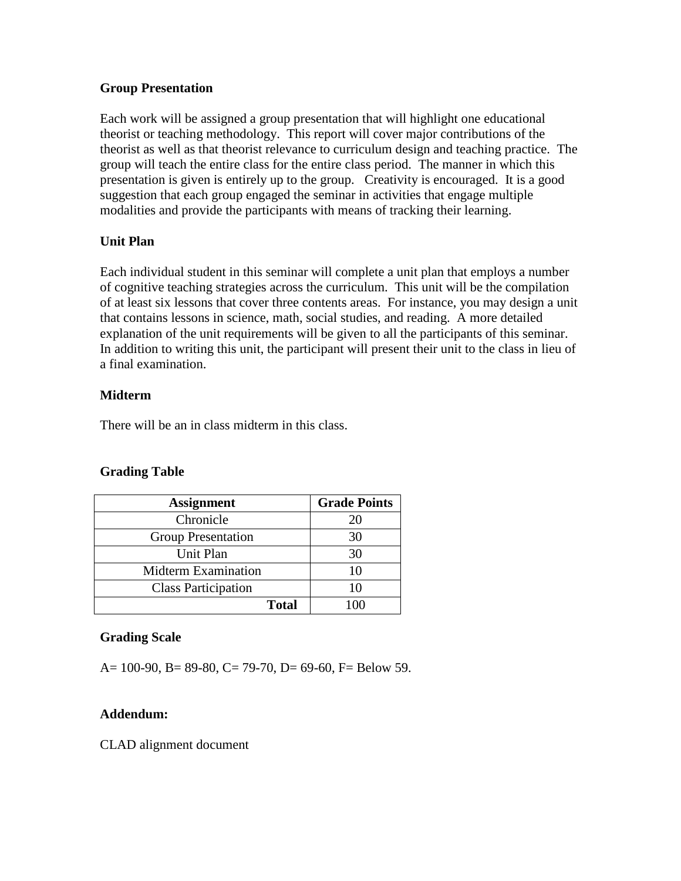### **Group Presentation**

Each work will be assigned a group presentation that will highlight one educational theorist or teaching methodology. This report will cover major contributions of the theorist as well as that theorist relevance to curriculum design and teaching practice. The group will teach the entire class for the entire class period. The manner in which this presentation is given is entirely up to the group. Creativity is encouraged. It is a good suggestion that each group engaged the seminar in activities that engage multiple modalities and provide the participants with means of tracking their learning.

# **Unit Plan**

Each individual student in this seminar will complete a unit plan that employs a number of cognitive teaching strategies across the curriculum. This unit will be the compilation of at least six lessons that cover three contents areas. For instance, you may design a unit that contains lessons in science, math, social studies, and reading. A more detailed explanation of the unit requirements will be given to all the participants of this seminar. In addition to writing this unit, the participant will present their unit to the class in lieu of a final examination.

# **Midterm**

There will be an in class midterm in this class.

# **Grading Table**

| <b>Assignment</b>          | <b>Grade Points</b> |
|----------------------------|---------------------|
| Chronicle                  | 20                  |
| <b>Group Presentation</b>  | 30                  |
| Unit Plan                  | 30                  |
| <b>Midterm Examination</b> | 10                  |
| <b>Class Participation</b> | 10                  |
| <b>Total</b>               |                     |

# **Grading Scale**

A=  $100-90$ , B=  $89-80$ , C=  $79-70$ , D=  $69-60$ , F= Below 59.

# **Addendum:**

CLAD alignment document